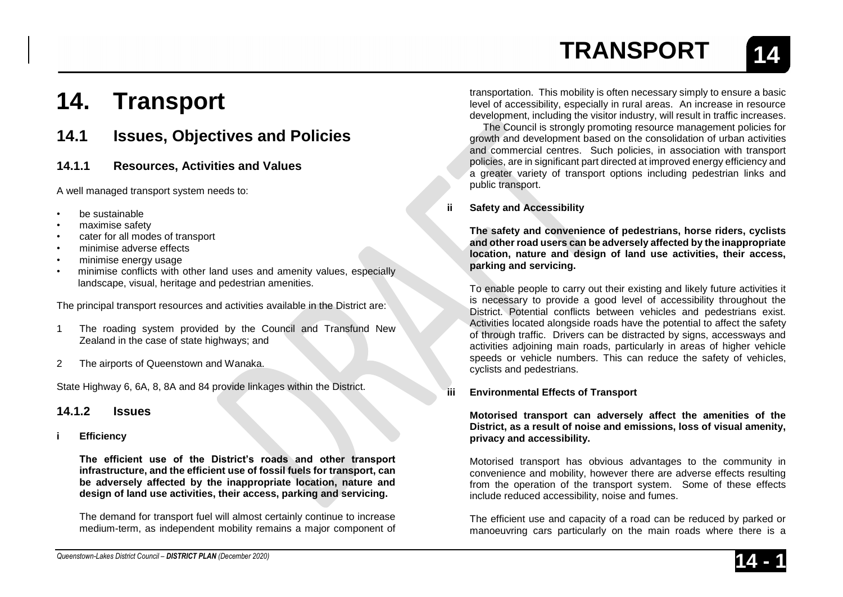# **14. Transport**

## **14.1 Issues, Objectives and Policies**

## **14.1.1 Resources, Activities and Values**

A well managed transport system needs to:

- be sustainable
- maximise safety
- cater for all modes of transport
- minimise adverse effects
- minimise energy usage
- minimise conflicts with other land uses and amenity values, especially landscape, visual, heritage and pedestrian amenities.

The principal transport resources and activities available in the District are:

- 1 The roading system provided by the Council and Transfund New Zealand in the case of state highways; and
- 2 The airports of Queenstown and Wanaka.

State Highway 6, 6A, 8, 8A and 84 provide linkages within the District.

## **14.1.2 Issues**

**i Efficiency**

**The efficient use of the District's roads and other transport infrastructure, and the efficient use of fossil fuels for transport, can be adversely affected by the inappropriate location, nature and design of land use activities, their access, parking and servicing.**

The demand for transport fuel will almost certainly continue to increase medium-term, as independent mobility remains a major component of

transportation. This mobility is often necessary simply to ensure a basic level of accessibility, especially in rural areas. An increase in resource development, including the visitor industry, will result in traffic increases.

The Council is strongly promoting resource management policies for growth and development based on the consolidation of urban activities and commercial centres. Such policies, in association with transport policies, are in significant part directed at improved energy efficiency and a greater variety of transport options including pedestrian links and public transport.

## **ii Safety and Accessibility**

**The safety and convenience of pedestrians, horse riders, cyclists and other road users can be adversely affected by the inappropriate location, nature and design of land use activities, their access, parking and servicing.**

To enable people to carry out their existing and likely future activities it is necessary to provide a good level of accessibility throughout the District. Potential conflicts between vehicles and pedestrians exist. Activities located alongside roads have the potential to affect the safety of through traffic. Drivers can be distracted by signs, accessways and activities adjoining main roads, particularly in areas of higher vehicle speeds or vehicle numbers. This can reduce the safety of vehicles, cyclists and pedestrians.

## **iii Environmental Effects of Transport**

**Motorised transport can adversely affect the amenities of the District, as a result of noise and emissions, loss of visual amenity, privacy and accessibility.**

Motorised transport has obvious advantages to the community in convenience and mobility, however there are adverse effects resulting from the operation of the transport system. Some of these effects include reduced accessibility, noise and fumes.

The efficient use and capacity of a road can be reduced by parked or manoeuvring cars particularly on the main roads where there is a

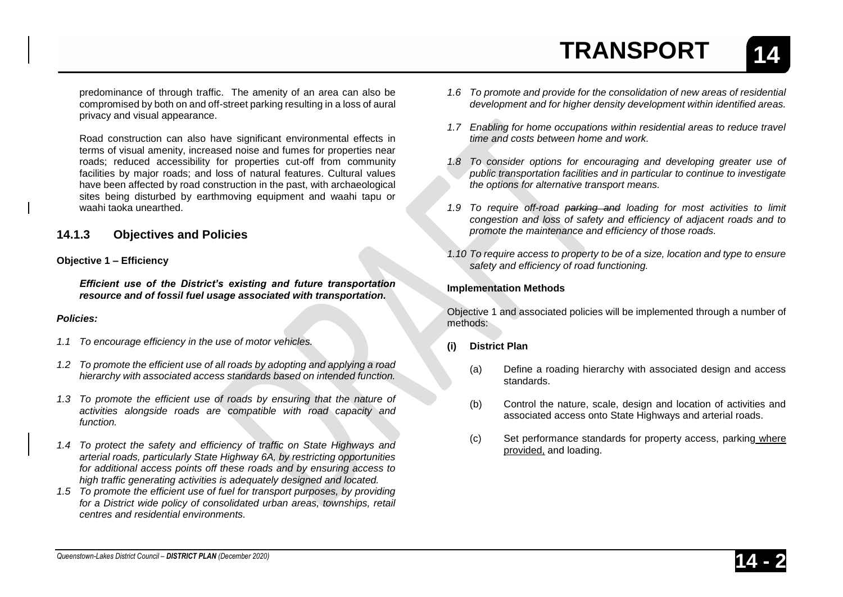**14**

predominance of through traffic. The amenity of an area can also be compromised by both on and off-street parking resulting in a loss of aural privacy and visual appearance.

Road construction can also have significant environmental effects in terms of visual amenity, increased noise and fumes for properties near roads; reduced accessibility for properties cut-off from community facilities by major roads; and loss of natural features. Cultural values have been affected by road construction in the past, with archaeological sites being disturbed by earthmoving equipment and waahi tapu or waahi taoka unearthed.

## **14.1.3 Objectives and Policies**

#### **Objective 1 – Efficiency**

*Efficient use of the District's existing and future transportation resource and of fossil fuel usage associated with transportation.*

#### *Policies:*

- *1.1 To encourage efficiency in the use of motor vehicles.*
- *1.2 To promote the efficient use of all roads by adopting and applying a road hierarchy with associated access standards based on intended function.*
- *1.3 To promote the efficient use of roads by ensuring that the nature of activities alongside roads are compatible with road capacity and function.*
- *1.4 To protect the safety and efficiency of traffic on State Highways and arterial roads, particularly State Highway 6A, by restricting opportunities for additional access points off these roads and by ensuring access to high traffic generating activities is adequately designed and located.*
- *1.5 To promote the efficient use of fuel for transport purposes, by providing for a District wide policy of consolidated urban areas, townships, retail centres and residential environments.*
- *1.6 To promote and provide for the consolidation of new areas of residential development and for higher density development within identified areas.*
- *1.7 Enabling for home occupations within residential areas to reduce travel time and costs between home and work.*
- *1.8 To consider options for encouraging and developing greater use of public transportation facilities and in particular to continue to investigate the options for alternative transport means.*
- *1.9 To require off-road parking and loading for most activities to limit congestion and loss of safety and efficiency of adjacent roads and to promote the maintenance and efficiency of those roads.*
- *1.10 To require access to property to be of a size, location and type to ensure safety and efficiency of road functioning.*

### **Implementation Methods**

Objective 1 and associated policies will be implemented through a number of methods:

#### **(i) District Plan**

- (a) Define a roading hierarchy with associated design and access standards.
- (b) Control the nature, scale, design and location of activities and associated access onto State Highways and arterial roads.
- (c) Set performance standards for property access, parking where provided, and loading.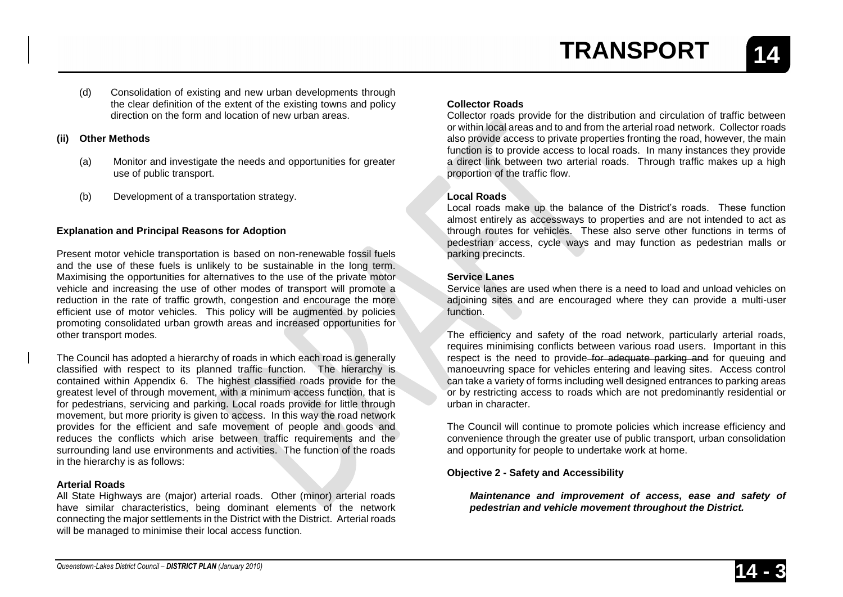**14**

(d) Consolidation of existing and new urban developments through the clear definition of the extent of the existing towns and policy direction on the form and location of new urban areas.

#### **(ii) Other Methods**

- (a) Monitor and investigate the needs and opportunities for greater use of public transport.
- (b) Development of a transportation strategy.

## **Explanation and Principal Reasons for Adoption**

Present motor vehicle transportation is based on non-renewable fossil fuels and the use of these fuels is unlikely to be sustainable in the long term. Maximising the opportunities for alternatives to the use of the private motor vehicle and increasing the use of other modes of transport will promote a reduction in the rate of traffic growth, congestion and encourage the more efficient use of motor vehicles. This policy will be augmented by policies promoting consolidated urban growth areas and increased opportunities for other transport modes.

The Council has adopted a hierarchy of roads in which each road is generally classified with respect to its planned traffic function. The hierarchy is contained within Appendix 6. The highest classified roads provide for the greatest level of through movement, with a minimum access function, that is for pedestrians, servicing and parking. Local roads provide for little through movement, but more priority is given to access. In this way the road network provides for the efficient and safe movement of people and goods and reduces the conflicts which arise between traffic requirements and the surrounding land use environments and activities. The function of the roads in the hierarchy is as follows:

### **Arterial Roads**

All State Highways are (major) arterial roads. Other (minor) arterial roads have similar characteristics, being dominant elements of the network connecting the major settlements in the District with the District. Arterial roads will be managed to minimise their local access function.

## **Collector Roads**

Collector roads provide for the distribution and circulation of traffic between or within local areas and to and from the arterial road network. Collector roads also provide access to private properties fronting the road, however, the main function is to provide access to local roads. In many instances they provide a direct link between two arterial roads. Through traffic makes up a high proportion of the traffic flow.

### **Local Roads**

Local roads make up the balance of the District's roads. These function almost entirely as accessways to properties and are not intended to act as through routes for vehicles. These also serve other functions in terms of pedestrian access, cycle ways and may function as pedestrian malls or parking precincts.

### **Service Lanes**

Service lanes are used when there is a need to load and unload vehicles on adjoining sites and are encouraged where they can provide a multi-user function.

The efficiency and safety of the road network, particularly arterial roads, requires minimising conflicts between various road users. Important in this respect is the need to provide for adequate parking and for queuing and manoeuvring space for vehicles entering and leaving sites. Access control can take a variety of forms including well designed entrances to parking areas or by restricting access to roads which are not predominantly residential or urban in character.

The Council will continue to promote policies which increase efficiency and convenience through the greater use of public transport, urban consolidation and opportunity for people to undertake work at home.

## **Objective 2 - Safety and Accessibility**

*Maintenance and improvement of access, ease and safety of pedestrian and vehicle movement throughout the District.*

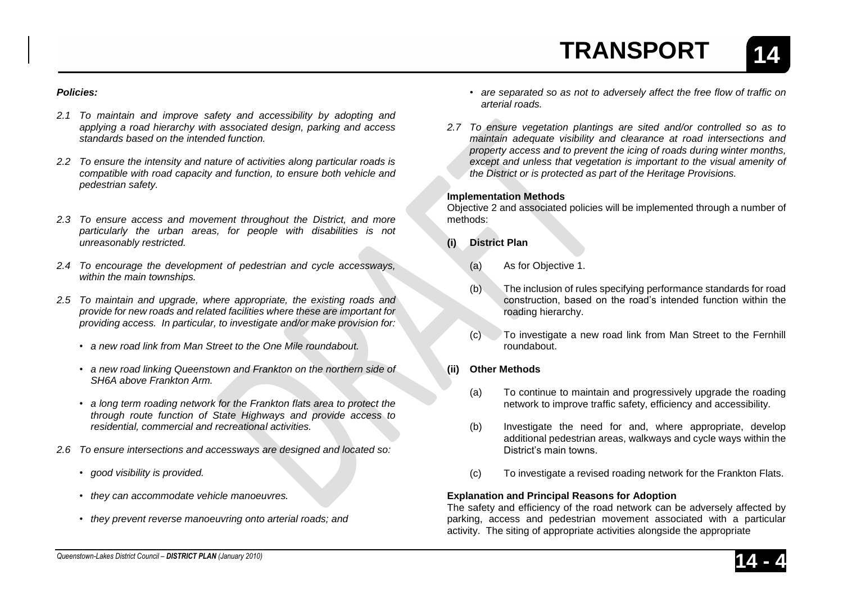**14**

#### *Policies:*

- *2.1 To maintain and improve safety and accessibility by adopting and applying a road hierarchy with associated design, parking and access standards based on the intended function.*
- *2.2 To ensure the intensity and nature of activities along particular roads is compatible with road capacity and function, to ensure both vehicle and pedestrian safety.*
- *2.3 To ensure access and movement throughout the District, and more particularly the urban areas, for people with disabilities is not unreasonably restricted.*
- *2.4 To encourage the development of pedestrian and cycle accessways, within the main townships.*
- *2.5 To maintain and upgrade, where appropriate, the existing roads and provide for new roads and related facilities where these are important for providing access. In particular, to investigate and/or make provision for:*
	- *• a new road link from Man Street to the One Mile roundabout.*
	- *• a new road linking Queenstown and Frankton on the northern side of SH6A above Frankton Arm.*
	- *• a long term roading network for the Frankton flats area to protect the through route function of State Highways and provide access to residential, commercial and recreational activities.*
- *2.6 To ensure intersections and accessways are designed and located so:*
	- *• good visibility is provided.*
	- *• they can accommodate vehicle manoeuvres.*
	- *• they prevent reverse manoeuvring onto arterial roads; and*
- *• are separated so as not to adversely affect the free flow of traffic on arterial roads.*
- *2.7 To ensure vegetation plantings are sited and/or controlled so as to maintain adequate visibility and clearance at road intersections and property access and to prevent the icing of roads during winter months,*  except and unless that vegetation is important to the visual amenity of *the District or is protected as part of the Heritage Provisions.*

#### **Implementation Methods**

Objective 2 and associated policies will be implemented through a number of methods:

- **(i) District Plan**
	- (a) As for Objective 1.
	- (b) The inclusion of rules specifying performance standards for road construction, based on the road's intended function within the roading hierarchy.
	- (c) To investigate a new road link from Man Street to the Fernhill roundabout.
- **(ii) Other Methods**
	- (a) To continue to maintain and progressively upgrade the roading network to improve traffic safety, efficiency and accessibility.
	- (b) Investigate the need for and, where appropriate, develop additional pedestrian areas, walkways and cycle ways within the District's main towns.
	- (c) To investigate a revised roading network for the Frankton Flats.

### **Explanation and Principal Reasons for Adoption**

The safety and efficiency of the road network can be adversely affected by parking, access and pedestrian movement associated with a particular activity. The siting of appropriate activities alongside the appropriate

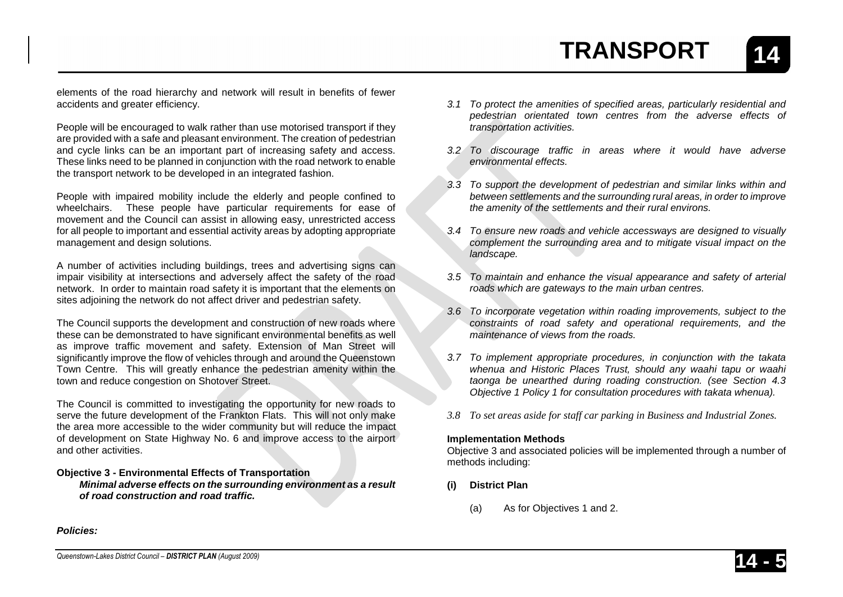**14**

elements of the road hierarchy and network will result in benefits of fewer accidents and greater efficiency.

People will be encouraged to walk rather than use motorised transport if they are provided with a safe and pleasant environment. The creation of pedestrian and cycle links can be an important part of increasing safety and access. These links need to be planned in conjunction with the road network to enable the transport network to be developed in an integrated fashion.

People with impaired mobility include the elderly and people confined to wheelchairs. These people have particular requirements for ease of movement and the Council can assist in allowing easy, unrestricted access for all people to important and essential activity areas by adopting appropriate management and design solutions.

A number of activities including buildings, trees and advertising signs can impair visibility at intersections and adversely affect the safety of the road network. In order to maintain road safety it is important that the elements on sites adjoining the network do not affect driver and pedestrian safety.

The Council supports the development and construction of new roads where these can be demonstrated to have significant environmental benefits as well as improve traffic movement and safety. Extension of Man Street will significantly improve the flow of vehicles through and around the Queenstown Town Centre. This will greatly enhance the pedestrian amenity within the town and reduce congestion on Shotover Street.

The Council is committed to investigating the opportunity for new roads to serve the future development of the Frankton Flats. This will not only make the area more accessible to the wider community but will reduce the impact of development on State Highway No. 6 and improve access to the airport and other activities.

#### **Objective 3 - Environmental Effects of Transportation**

*Minimal adverse effects on the surrounding environment as a result of road construction and road traffic.*

- *3.1 To protect the amenities of specified areas, particularly residential and pedestrian orientated town centres from the adverse effects of transportation activities.*
- *3.2 To discourage traffic in areas where it would have adverse environmental effects.*
- *3.3 To support the development of pedestrian and similar links within and between settlements and the surrounding rural areas, in order to improve the amenity of the settlements and their rural environs.*
- *3.4 To ensure new roads and vehicle accessways are designed to visually complement the surrounding area and to mitigate visual impact on the landscape.*
- *3.5 To maintain and enhance the visual appearance and safety of arterial roads which are gateways to the main urban centres.*
- *3.6 To incorporate vegetation within roading improvements, subject to the constraints of road safety and operational requirements, and the maintenance of views from the roads.*
- *3.7 To implement appropriate procedures, in conjunction with the takata whenua and Historic Places Trust, should any waahi tapu or waahi taonga be unearthed during roading construction. (see Section 4.3 Objective 1 Policy 1 for consultation procedures with takata whenua).*
- *3.8 To set areas aside for staff car parking in Business and Industrial Zones.*

### **Implementation Methods**

Objective 3 and associated policies will be implemented through a number of methods including:

- **(i) District Plan**
	- (a) As for Objectives 1 and 2.

*Policies:*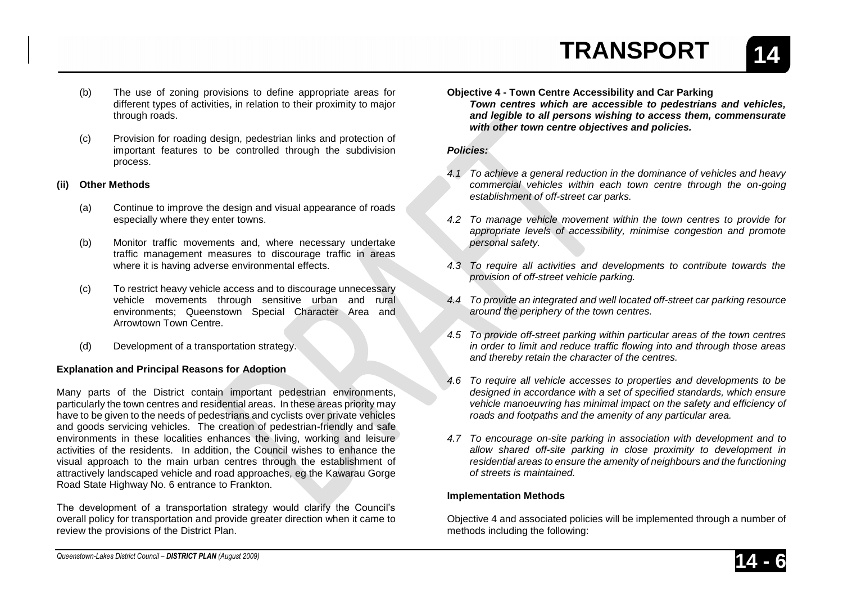- (b) The use of zoning provisions to define appropriate areas for different types of activities, in relation to their proximity to major through roads.
- (c) Provision for roading design, pedestrian links and protection of important features to be controlled through the subdivision process.

## **(ii) Other Methods**

- (a) Continue to improve the design and visual appearance of roads especially where they enter towns.
- (b) Monitor traffic movements and, where necessary undertake traffic management measures to discourage traffic in areas where it is having adverse environmental effects.
- (c) To restrict heavy vehicle access and to discourage unnecessary vehicle movements through sensitive urban and rural environments; Queenstown Special Character Area and Arrowtown Town Centre.
- (d) Development of a transportation strategy.

## **Explanation and Principal Reasons for Adoption**

Many parts of the District contain important pedestrian environments, particularly the town centres and residential areas. In these areas priority may have to be given to the needs of pedestrians and cyclists over private vehicles and goods servicing vehicles. The creation of pedestrian-friendly and safe environments in these localities enhances the living, working and leisure activities of the residents. In addition, the Council wishes to enhance the visual approach to the main urban centres through the establishment of attractively landscaped vehicle and road approaches, eg the Kawarau Gorge Road State Highway No. 6 entrance to Frankton.

The development of a transportation strategy would clarify the Council's overall policy for transportation and provide greater direction when it came to review the provisions of the District Plan.

- **Objective 4 - Town Centre Accessibility and Car Parking**
	- *Town centres which are accessible to pedestrians and vehicles, and legible to all persons wishing to access them, commensurate with other town centre objectives and policies.*

## *Policies:*

- *4.1 To achieve a general reduction in the dominance of vehicles and heavy commercial vehicles within each town centre through the on-going establishment of off-street car parks.*
- *4.2 To manage vehicle movement within the town centres to provide for appropriate levels of accessibility, minimise congestion and promote personal safety.*
- *4.3 To require all activities and developments to contribute towards the provision of off-street vehicle parking.*
- *4.4 To provide an integrated and well located off-street car parking resource around the periphery of the town centres.*
- *4.5 To provide off-street parking within particular areas of the town centres in order to limit and reduce traffic flowing into and through those areas and thereby retain the character of the centres.*
- *4.6 To require all vehicle accesses to properties and developments to be designed in accordance with a set of specified standards, which ensure vehicle manoeuvring has minimal impact on the safety and efficiency of roads and footpaths and the amenity of any particular area.*
- *4.7 To encourage on-site parking in association with development and to allow shared off-site parking in close proximity to development in residential areas to ensure the amenity of neighbours and the functioning of streets is maintained.*

## **Implementation Methods**

Objective 4 and associated policies will be implemented through a number of methods including the following:

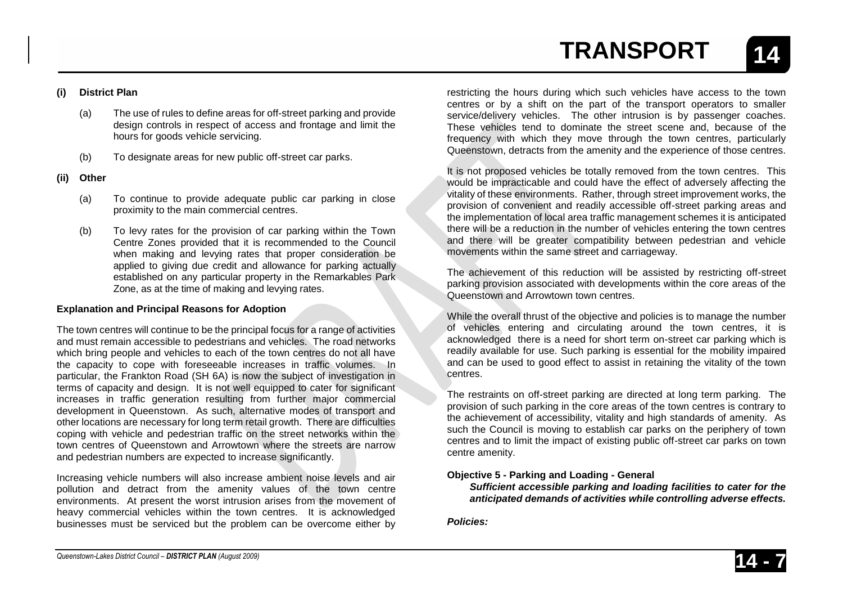## **(i) District Plan**

- (a) The use of rules to define areas for off-street parking and provide design controls in respect of access and frontage and limit the hours for goods vehicle servicing.
- (b) To designate areas for new public off-street car parks.
- **(ii) Other** 
	- (a) To continue to provide adequate public car parking in close proximity to the main commercial centres.
	- (b) To levy rates for the provision of car parking within the Town Centre Zones provided that it is recommended to the Council when making and levying rates that proper consideration be applied to giving due credit and allowance for parking actually established on any particular property in the Remarkables Park Zone, as at the time of making and levying rates.

## **Explanation and Principal Reasons for Adoption**

The town centres will continue to be the principal focus for a range of activities and must remain accessible to pedestrians and vehicles. The road networks which bring people and vehicles to each of the town centres do not all have the capacity to cope with foreseeable increases in traffic volumes. In particular, the Frankton Road (SH 6A) is now the subject of investigation in terms of capacity and design. It is not well equipped to cater for significant increases in traffic generation resulting from further major commercial development in Queenstown. As such, alternative modes of transport and other locations are necessary for long term retail growth. There are difficulties coping with vehicle and pedestrian traffic on the street networks within the town centres of Queenstown and Arrowtown where the streets are narrow and pedestrian numbers are expected to increase significantly.

Increasing vehicle numbers will also increase ambient noise levels and air pollution and detract from the amenity values of the town centre environments. At present the worst intrusion arises from the movement of heavy commercial vehicles within the town centres. It is acknowledged businesses must be serviced but the problem can be overcome either by

restricting the hours during which such vehicles have access to the town centres or by a shift on the part of the transport operators to smaller service/delivery vehicles. The other intrusion is by passenger coaches. These vehicles tend to dominate the street scene and, because of the frequency with which they move through the town centres, particularly Queenstown, detracts from the amenity and the experience of those centres.

It is not proposed vehicles be totally removed from the town centres. This would be impracticable and could have the effect of adversely affecting the vitality of these environments. Rather, through street improvement works, the provision of convenient and readily accessible off-street parking areas and the implementation of local area traffic management schemes it is anticipated there will be a reduction in the number of vehicles entering the town centres and there will be greater compatibility between pedestrian and vehicle movements within the same street and carriageway.

The achievement of this reduction will be assisted by restricting off-street parking provision associated with developments within the core areas of the Queenstown and Arrowtown town centres.

While the overall thrust of the objective and policies is to manage the number of vehicles entering and circulating around the town centres, it is acknowledged there is a need for short term on-street car parking which is readily available for use. Such parking is essential for the mobility impaired and can be used to good effect to assist in retaining the vitality of the town centres.

The restraints on off-street parking are directed at long term parking. The provision of such parking in the core areas of the town centres is contrary to the achievement of accessibility, vitality and high standards of amenity. As such the Council is moving to establish car parks on the periphery of town centres and to limit the impact of existing public off-street car parks on town centre amenity.

## **Objective 5 - Parking and Loading - General**

*Sufficient accessible parking and loading facilities to cater for the anticipated demands of activities while controlling adverse effects.*

*Policies:*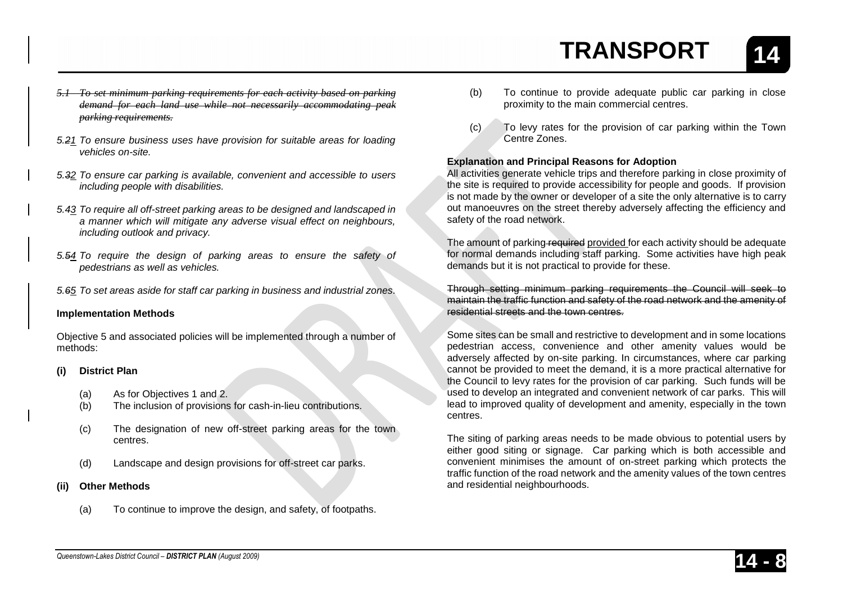**14**

- *5.1 To set minimum parking requirements for each activity based on parking demand for each land use while not necessarily accommodating peak parking requirements.*
- *5.21 To ensure business uses have provision for suitable areas for loading vehicles on-site.*
- *5.32 To ensure car parking is available, convenient and accessible to users including people with disabilities.*
- *5.43 To require all off-street parking areas to be designed and landscaped in a manner which will mitigate any adverse visual effect on neighbours, including outlook and privacy.*
- *5.54 To require the design of parking areas to ensure the safety of pedestrians as well as vehicles.*
- *5.65 To set areas aside for staff car parking in business and industrial zones.*

#### **Implementation Methods**

Objective 5 and associated policies will be implemented through a number of methods:

- **(i) District Plan**
	- (a) As for Objectives 1 and 2.
	- (b) The inclusion of provisions for cash-in-lieu contributions.
	- (c) The designation of new off-street parking areas for the town centres.
	- (d) Landscape and design provisions for off-street car parks.
- **(ii) Other Methods**
	- (a) To continue to improve the design, and safety, of footpaths.
- (b) To continue to provide adequate public car parking in close proximity to the main commercial centres.
- (c) To levy rates for the provision of car parking within the Town Centre Zones.

## **Explanation and Principal Reasons for Adoption**

All activities generate vehicle trips and therefore parking in close proximity of the site is required to provide accessibility for people and goods. If provision is not made by the owner or developer of a site the only alternative is to carry out manoeuvres on the street thereby adversely affecting the efficiency and safety of the road network.

The amount of parking required provided for each activity should be adequate for normal demands including staff parking. Some activities have high peak demands but it is not practical to provide for these.

Through setting minimum parking requirements the Council will seek to maintain the traffic function and safety of the road network and the amenity of residential streets and the town centres.

Some sites can be small and restrictive to development and in some locations pedestrian access, convenience and other amenity values would be adversely affected by on-site parking. In circumstances, where car parking cannot be provided to meet the demand, it is a more practical alternative for the Council to levy rates for the provision of car parking. Such funds will be used to develop an integrated and convenient network of car parks. This will lead to improved quality of development and amenity, especially in the town centres.

The siting of parking areas needs to be made obvious to potential users by either good siting or signage. Car parking which is both accessible and convenient minimises the amount of on-street parking which protects the traffic function of the road network and the amenity values of the town centres and residential neighbourhoods.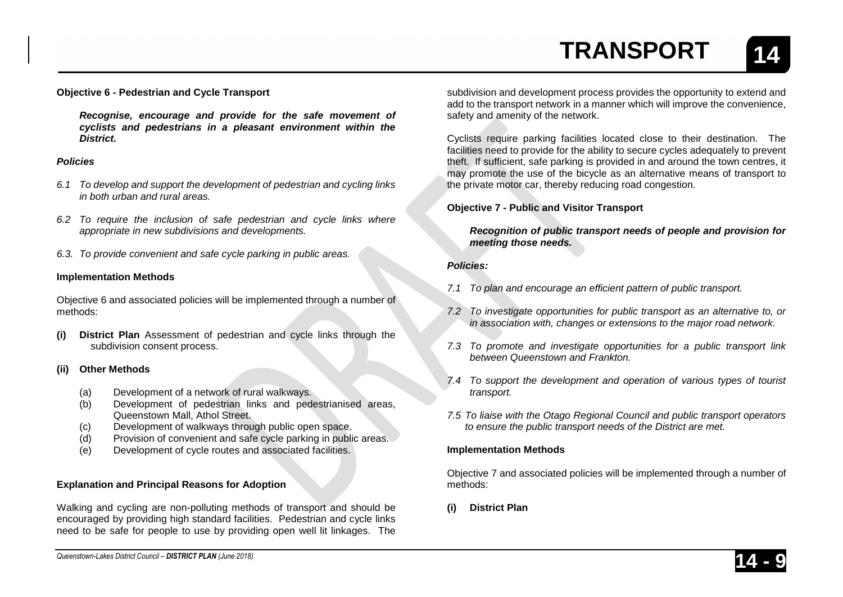**14**

### **Objective 6 - Pedestrian and Cycle Transport**

*Recognise, encourage and provide for the safe movement of cyclists and pedestrians in a pleasant environment within the District.*

#### *Policies*

- *6.1 To develop and support the development of pedestrian and cycling links in both urban and rural areas.*
- *6.2 To require the inclusion of safe pedestrian and cycle links where appropriate in new subdivisions and developments.*
- *6.3. To provide convenient and safe cycle parking in public areas.*

#### **Implementation Methods**

Objective 6 and associated policies will be implemented through a number of methods:

**(i) District Plan** Assessment of pedestrian and cycle links through the subdivision consent process.

#### **(ii) Other Methods**

- (a) Development of a network of rural walkways.
- (b) Development of pedestrian links and pedestrianised areas, Queenstown Mall, Athol Street.
- (c) Development of walkways through public open space.
- (d) Provision of convenient and safe cycle parking in public areas.
- (e) Development of cycle routes and associated facilities.

#### **Explanation and Principal Reasons for Adoption**

Walking and cycling are non-polluting methods of transport and should be encouraged by providing high standard facilities. Pedestrian and cycle links need to be safe for people to use by providing open well lit linkages. The

subdivision and development process provides the opportunity to extend and add to the transport network in a manner which will improve the convenience, safety and amenity of the network.

Cyclists require parking facilities located close to their destination. The facilities need to provide for the ability to secure cycles adequately to prevent theft. If sufficient, safe parking is provided in and around the town centres, it may promote the use of the bicycle as an alternative means of transport to the private motor car, thereby reducing road congestion.

#### **Objective 7 - Public and Visitor Transport**

*Recognition of public transport needs of people and provision for meeting those needs.*

#### *Policies:*

- *7.1 To plan and encourage an efficient pattern of public transport.*
- *7.2 To investigate opportunities for public transport as an alternative to, or in association with, changes or extensions to the major road network.*
- *7.3 To promote and investigate opportunities for a public transport link between Queenstown and Frankton.*
- *7.4 To support the development and operation of various types of tourist transport.*
- *7.5 To liaise with the Otago Regional Council and public transport operators to ensure the public transport needs of the District are met.*

#### **Implementation Methods**

Objective 7 and associated policies will be implemented through a number of methods:

**(i) District Plan**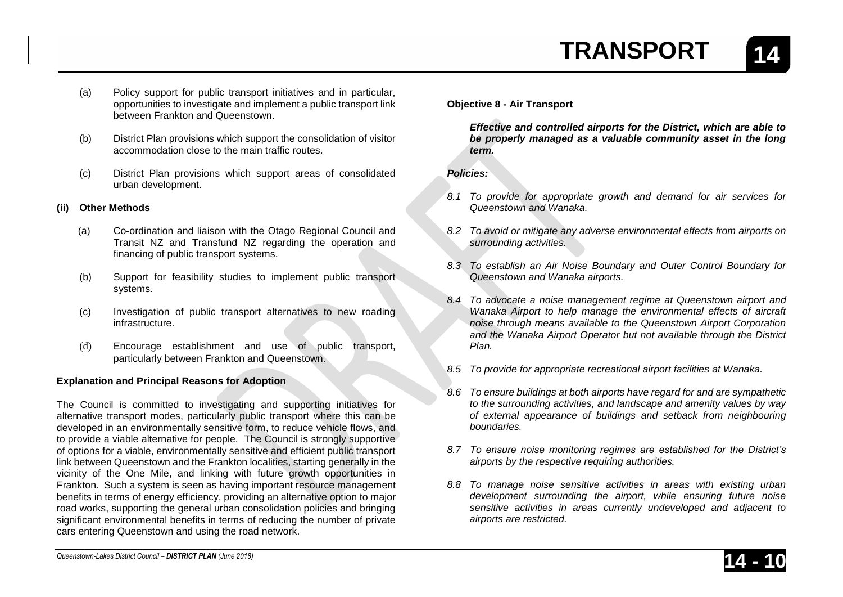- (a) Policy support for public transport initiatives and in particular, opportunities to investigate and implement a public transport link between Frankton and Queenstown.
- (b) District Plan provisions which support the consolidation of visitor accommodation close to the main traffic routes.
- (c) District Plan provisions which support areas of consolidated urban development.

## **(ii) Other Methods**

- (a) Co-ordination and liaison with the Otago Regional Council and Transit NZ and Transfund NZ regarding the operation and financing of public transport systems.
- (b) Support for feasibility studies to implement public transport systems.
- (c) Investigation of public transport alternatives to new roading infrastructure.
- (d) Encourage establishment and use of public transport, particularly between Frankton and Queenstown.

## **Explanation and Principal Reasons for Adoption**

The Council is committed to investigating and supporting initiatives for alternative transport modes, particularly public transport where this can be developed in an environmentally sensitive form, to reduce vehicle flows, and to provide a viable alternative for people. The Council is strongly supportive of options for a viable, environmentally sensitive and efficient public transport link between Queenstown and the Frankton localities, starting generally in the vicinity of the One Mile, and linking with future growth opportunities in Frankton. Such a system is seen as having important resource management benefits in terms of energy efficiency, providing an alternative option to major road works, supporting the general urban consolidation policies and bringing significant environmental benefits in terms of reducing the number of private cars entering Queenstown and using the road network.

## **Objective 8 - Air Transport**

*Effective and controlled airports for the District, which are able to be properly managed as a valuable community asset in the long term.*

*Policies:*

- *8.1 To provide for appropriate growth and demand for air services for Queenstown and Wanaka.*
- *8.2 To avoid or mitigate any adverse environmental effects from airports on surrounding activities.*
- *8.3 To establish an Air Noise Boundary and Outer Control Boundary for Queenstown and Wanaka airports.*
- *8.4 To advocate a noise management regime at Queenstown airport and Wanaka Airport to help manage the environmental effects of aircraft noise through means available to the Queenstown Airport Corporation and the Wanaka Airport Operator but not available through the District Plan.*
- *8.5 To provide for appropriate recreational airport facilities at Wanaka.*
- *8.6 To ensure buildings at both airports have regard for and are sympathetic to the surrounding activities, and landscape and amenity values by way of external appearance of buildings and setback from neighbouring boundaries.*
- *8.7 To ensure noise monitoring regimes are established for the District's airports by the respective requiring authorities.*
- *8.8 To manage noise sensitive activities in areas with existing urban development surrounding the airport, while ensuring future noise sensitive activities in areas currently undeveloped and adjacent to airports are restricted.*

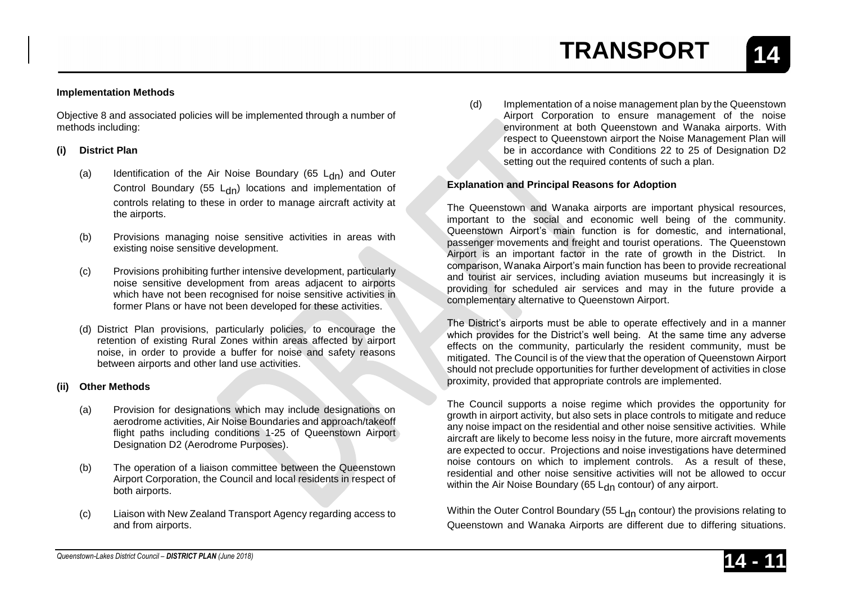Objective 8 and associated policies will be implemented through a number of methods including:

#### **(i) District Plan**

- (a) Identification of the Air Noise Boundary (65  $L_{dn}$ ) and Outer Control Boundary (55  $L_{dn}$ ) locations and implementation of controls relating to these in order to manage aircraft activity at the airports.
- (b) Provisions managing noise sensitive activities in areas with existing noise sensitive development.
- (c) Provisions prohibiting further intensive development, particularly noise sensitive development from areas adjacent to airports which have not been recognised for noise sensitive activities in former Plans or have not been developed for these activities.
- (d) District Plan provisions, particularly policies, to encourage the retention of existing Rural Zones within areas affected by airport noise, in order to provide a buffer for noise and safety reasons between airports and other land use activities.

#### **(ii) Other Methods**

- (a) Provision for designations which may include designations on aerodrome activities, Air Noise Boundaries and approach/takeoff flight paths including conditions 1-25 of Queenstown Airport Designation D2 (Aerodrome Purposes).
- (b) The operation of a liaison committee between the Queenstown Airport Corporation, the Council and local residents in respect of both airports.
- (c) Liaison with New Zealand Transport Agency regarding access to and from airports.

(d) Implementation of a noise management plan by the Queenstown Airport Corporation to ensure management of the noise environment at both Queenstown and Wanaka airports. With respect to Queenstown airport the Noise Management Plan will be in accordance with Conditions 22 to 25 of Designation D2 setting out the required contents of such a plan.

#### **Explanation and Principal Reasons for Adoption**

The Queenstown and Wanaka airports are important physical resources, important to the social and economic well being of the community. Queenstown Airport's main function is for domestic, and international, passenger movements and freight and tourist operations. The Queenstown Airport is an important factor in the rate of growth in the District. In comparison, Wanaka Airport's main function has been to provide recreational and tourist air services, including aviation museums but increasingly it is providing for scheduled air services and may in the future provide a complementary alternative to Queenstown Airport.

The District's airports must be able to operate effectively and in a manner which provides for the District's well being. At the same time any adverse effects on the community, particularly the resident community, must be mitigated. The Council is of the view that the operation of Queenstown Airport should not preclude opportunities for further development of activities in close proximity, provided that appropriate controls are implemented.

The Council supports a noise regime which provides the opportunity for growth in airport activity, but also sets in place controls to mitigate and reduce any noise impact on the residential and other noise sensitive activities. While aircraft are likely to become less noisy in the future, more aircraft movements are expected to occur. Projections and noise investigations have determined noise contours on which to implement controls. As a result of these, residential and other noise sensitive activities will not be allowed to occur within the Air Noise Boundary (65  $L<sub>dn</sub>$  contour) of any airport.

Within the Outer Control Boundary (55  $L<sub>dn</sub>$  contour) the provisions relating to Queenstown and Wanaka Airports are different due to differing situations.



**14**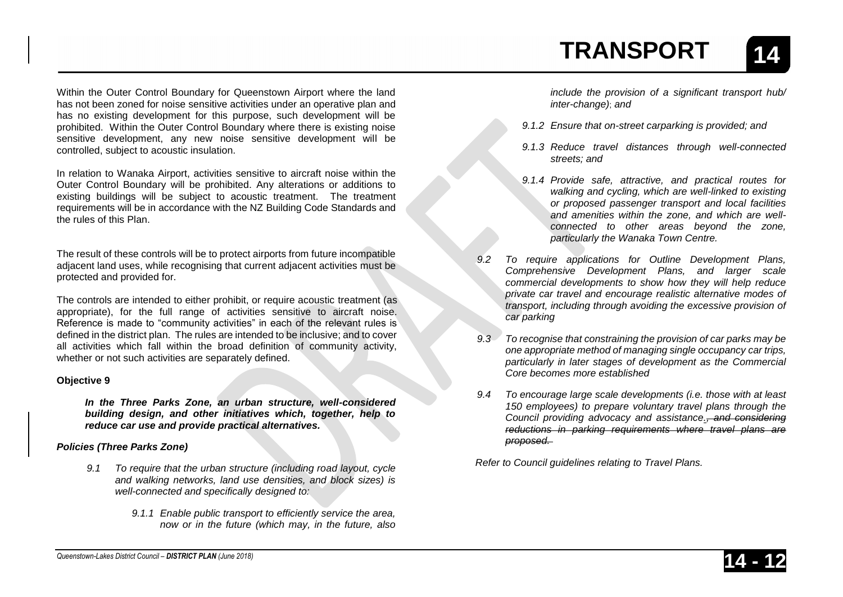Within the Outer Control Boundary for Queenstown Airport where the land has not been zoned for noise sensitive activities under an operative plan and has no existing development for this purpose, such development will be prohibited. Within the Outer Control Boundary where there is existing noise sensitive development, any new noise sensitive development will be controlled, subject to acoustic insulation.

In relation to Wanaka Airport, activities sensitive to aircraft noise within the Outer Control Boundary will be prohibited. Any alterations or additions to existing buildings will be subject to acoustic treatment. The treatment requirements will be in accordance with the NZ Building Code Standards and the rules of this Plan.

The result of these controls will be to protect airports from future incompatible adjacent land uses, while recognising that current adjacent activities must be protected and provided for.

The controls are intended to either prohibit, or require acoustic treatment (as appropriate), for the full range of activities sensitive to aircraft noise. Reference is made to "community activities" in each of the relevant rules is defined in the district plan. The rules are intended to be inclusive; and to cover all activities which fall within the broad definition of community activity, whether or not such activities are separately defined.

### **Objective 9**

*In the Three Parks Zone, an urban structure, well-considered building design, and other initiatives which, together, help to reduce car use and provide practical alternatives.* 

## *Policies (Three Parks Zone)*

- *9.1 To require that the urban structure (including road layout, cycle and walking networks, land use densities, and block sizes) is well-connected and specifically designed to:* 
	- *9.1.1 Enable public transport to efficiently service the area, now or in the future (which may, in the future, also*

*include the provision of a significant transport hub/ inter-change)*; *and* 

- *9.1.2 Ensure that on-street carparking is provided; and*
- *9.1.3 Reduce travel distances through well-connected streets; and*
- *9.1.4 Provide safe, attractive, and practical routes for walking and cycling, which are well-linked to existing or proposed passenger transport and local facilities and amenities within the zone, and which are wellconnected to other areas beyond the zone, particularly the Wanaka Town Centre.*
- *9.2 To require applications for Outline Development Plans, Comprehensive Development Plans, and larger scale commercial developments to show how they will help reduce private car travel and encourage realistic alternative modes of transport, including through avoiding the excessive provision of car parking*
- *9.3 To recognise that constraining the provision of car parks may be one appropriate method of managing single occupancy car trips, particularly in later stages of development as the Commercial Core becomes more established*
- *9.4 To encourage large scale developments (i.e. those with at least 150 employees) to prepare voluntary travel plans through the Council providing advocacy and assistance., and considering reductions in parking requirements where travel plans are proposed.*

*Refer to Council guidelines relating to Travel Plans.*